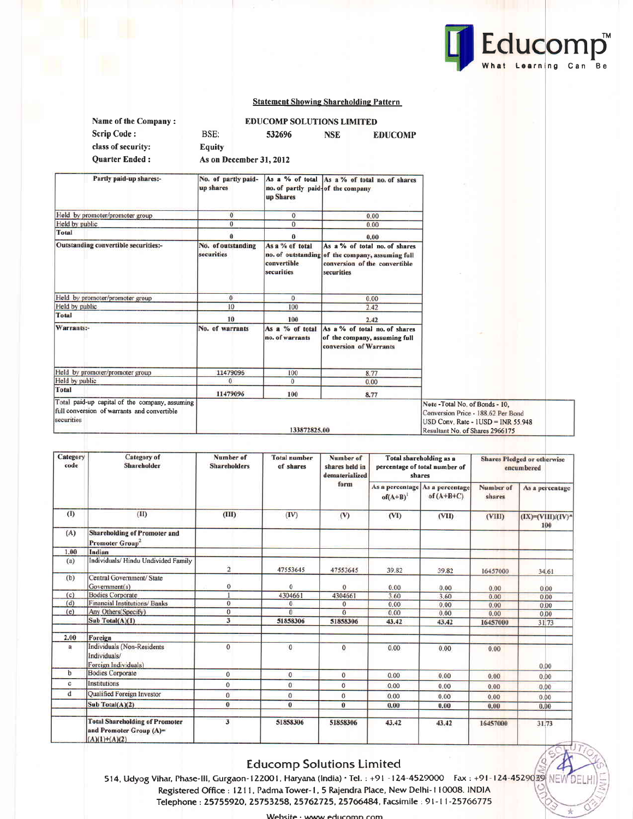

头

### **Statement Showing Shareholding Pattern**

| Name of the Company:                                                                                        |                                  | <b>EDUCOMP SOLUTIONS LIMITED</b>               |                                                                                                                                  |                                                                                                                                                  |
|-------------------------------------------------------------------------------------------------------------|----------------------------------|------------------------------------------------|----------------------------------------------------------------------------------------------------------------------------------|--------------------------------------------------------------------------------------------------------------------------------------------------|
| <b>Scrip Code:</b>                                                                                          | BSE:                             | 532696                                         | <b>NSE</b><br><b>EDUCOMP</b>                                                                                                     |                                                                                                                                                  |
| class of security:                                                                                          | <b>Equity</b>                    |                                                |                                                                                                                                  |                                                                                                                                                  |
| <b>Ouarter Ended:</b>                                                                                       | As on December 31, 2012          |                                                |                                                                                                                                  |                                                                                                                                                  |
|                                                                                                             |                                  |                                                |                                                                                                                                  |                                                                                                                                                  |
| Partly paid-up shares:-                                                                                     | No. of partly paid-<br>up shares | no. of partly paid-of the company<br>up Shares | As a % of total As a % of total no. of shares                                                                                    |                                                                                                                                                  |
| Held by promoter/promoter group                                                                             | $\mathbf{0}$                     | $\overline{0}$                                 | 0.00                                                                                                                             |                                                                                                                                                  |
| Held by public                                                                                              | $\overline{0}$                   | $\mathbf{0}$                                   | 0.00                                                                                                                             |                                                                                                                                                  |
| <b>Total</b>                                                                                                | $\bf{0}$                         | $\bf{0}$                                       | 0.00                                                                                                                             |                                                                                                                                                  |
| Outstanding convertible securities:-                                                                        | No. of outstanding<br>securities | As a % of total<br>convertible<br>securities   | As a % of total no. of shares<br>no. of outstanding of the company, assuming full<br>conversion of the convertible<br>securities |                                                                                                                                                  |
| Held by promoter/promoter group                                                                             | $\overline{0}$                   | $\bf{0}$                                       | 0.00                                                                                                                             |                                                                                                                                                  |
| Held by public                                                                                              | 10                               | 100                                            | 2.42                                                                                                                             |                                                                                                                                                  |
| <b>Total</b>                                                                                                | 10                               | 100                                            | 2.42                                                                                                                             |                                                                                                                                                  |
| Warrants:-                                                                                                  | No. of warrants                  | As a % of total<br>no. of warrants             | As a % of total no. of shares<br>of the company, assuming full<br>conversion of Warrants                                         |                                                                                                                                                  |
| Held by promoter/promoter group                                                                             | 11479096                         | 100                                            | 8.77                                                                                                                             |                                                                                                                                                  |
| Held by public                                                                                              | $\Omega$                         | 0                                              | 0.00                                                                                                                             |                                                                                                                                                  |
| Total                                                                                                       | 11479096                         | 100                                            | 8.77                                                                                                                             |                                                                                                                                                  |
| Total paid-up capital of the company, assuming<br>full conversion of warrants and convertible<br>securities |                                  | 133872825.00                                   |                                                                                                                                  | Note - Total No. of Bonds - 10.<br>Conversion Price - 188.62 Per Bond<br>$USD Conv. Rate - IUSD = INR 55.948$<br>Resultant No. of Shares 2966175 |

| Category<br>code | <b>Category</b> of<br>Shareholder                                                      | Number of<br><b>Shareholders</b> | <b>Total number</b><br>of shares | Number of<br>shares held in<br>dematerialized | Total shareholding as a<br>percentage of total number of<br>shares |                                                 | <b>Shares Pledged or otherwise</b><br>encumbered |                               |
|------------------|----------------------------------------------------------------------------------------|----------------------------------|----------------------------------|-----------------------------------------------|--------------------------------------------------------------------|-------------------------------------------------|--------------------------------------------------|-------------------------------|
|                  |                                                                                        |                                  |                                  | form                                          | $of(A+B)^{1}$                                                      | As a percentage As a percentage<br>of $(A+B+C)$ | Number of<br>shares                              | As a percentage               |
| (1)              | (II)                                                                                   | (III)                            | (IV)                             | (V)                                           | (VI)                                                               | (VII)                                           | (VIII)                                           | $(IX) = (VIII)/(IV)^*$<br>100 |
| (A)              | <b>Shareholding of Promoter and</b><br>Promoter Group <sup>2</sup>                     |                                  |                                  |                                               |                                                                    |                                                 |                                                  |                               |
| 1.00             | Indian                                                                                 |                                  |                                  |                                               |                                                                    |                                                 |                                                  |                               |
| (a)              | Individuals/ Hindu Undivided Family                                                    | $\overline{2}$                   | 47553645                         | 47553645                                      | 39.82                                                              | 39.82                                           | 16457000                                         | 34.61                         |
| (b)              | Central Government/ State<br>Government(s)                                             | $\theta$                         | $\mathbf{0}$                     | 0                                             | 0.00                                                               | 0.00                                            | 0.00                                             | 0.00                          |
| (c)              | <b>Bodies Corporate</b>                                                                |                                  | 4304661                          | 4304661                                       | 3.60                                                               | 3.60                                            | 0.00                                             | 0.00                          |
| (d)              | Financial Institutions/Banks                                                           | $\theta$                         | $\mathbf{0}$                     | 0                                             | 0.00                                                               | 0.00                                            | 0.00                                             | 0.00                          |
| (e)              | Any Others(Specify)                                                                    | $\mathbf{0}$                     | $\overline{0}$                   | $\theta$                                      | 0.00                                                               | 0.00                                            | 0.00                                             | 0.00                          |
|                  | Sub Total(A)(1)                                                                        | $\overline{\mathbf{3}}$          | 51858306                         | 51858306                                      | 43.42                                                              | 43.42                                           | 16457000                                         | 31.73                         |
| 2.00             | Foreign                                                                                |                                  |                                  |                                               |                                                                    |                                                 |                                                  |                               |
| $\overline{a}$   | Individuals (Non-Residents)<br>Individuals/<br>Foreign Individuals)                    | $\mathbf{0}$                     | $\mathbf{0}$                     | $\mathbf{0}$                                  | 0.00                                                               | 0.00                                            | 0.00                                             | 0.00                          |
| $\mathbf b$      | <b>Bodies Corporate</b>                                                                | $\overline{0}$                   | $\mathbf{0}$                     | $\theta$                                      | 0.00                                                               | 0.00                                            | 0.00                                             | 0.00                          |
| c                | Institutions                                                                           | $\mathbf{0}$                     | $\bf{0}$                         | $\overline{0}$                                | 0.00                                                               | 0.00                                            | 0.00                                             | 0.00                          |
| đ                | Qualified Foreign Investor                                                             | $\theta$                         | $\overline{0}$                   | $\sigma$                                      | 0.00                                                               | 0.00                                            | 0.00                                             | 0.00                          |
|                  | Sub Total(A)(2)                                                                        | $\bf{0}$                         | $\bf{0}$                         | $\theta$                                      | 0.00                                                               | 0.00                                            | 0.00                                             | 0.00                          |
|                  | <b>Total Shareholding of Promoter</b><br>and Promoter Group $(A)$ =<br>$(A)(1)+(A)(2)$ | $\overline{\mathbf{3}}$          | 51858306                         | 51858306                                      | 43.42                                                              | 43.42                                           | 16457000                                         | 31.73                         |

## **Educomp Solutions Limited**

Website · www.educomp.com

514, Udyog Vihar, Phase-III, Gurgaon-122001, Haryana (India) · Tel.: +91 -124-4529000 Fax: +91-124-4529039 NEW DEL Registered Office : 1211, Padma Tower-1, 5 Rajendra Place, New Delhi-110008. INDIA Telephone : 25755920, 25753258, 25762725, 25766484, Facsimile : 91-11-25766775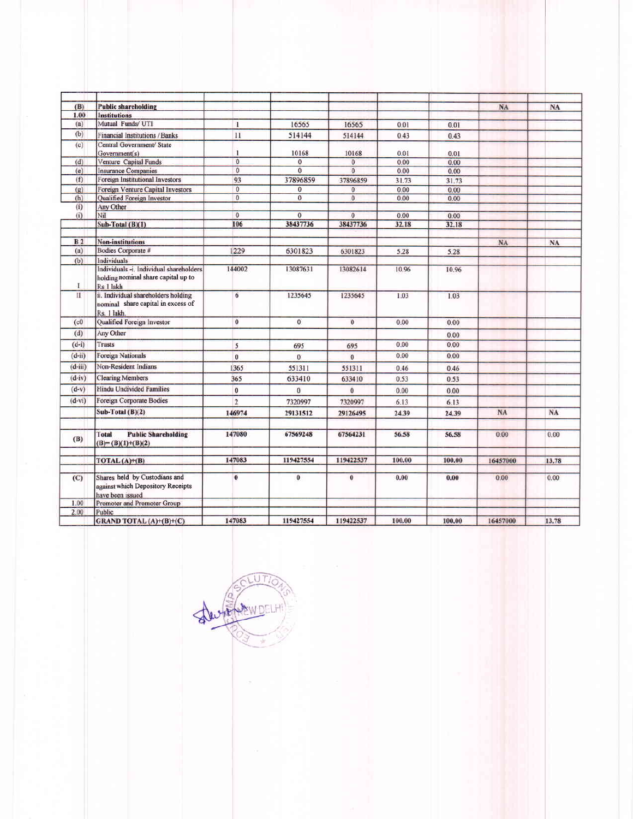| (B)            | <b>Public shareholding</b>                                                                  |                     |                      |                            |               |               | NA        | <b>NA</b> |
|----------------|---------------------------------------------------------------------------------------------|---------------------|----------------------|----------------------------|---------------|---------------|-----------|-----------|
| 1.00           | <b>Institutions</b>                                                                         |                     |                      |                            |               |               |           |           |
| (a)            | Mutual Funds/ UTI                                                                           | $\mathbf{1}$        | 16565                | 16565                      | 0.01          | 0.01          |           |           |
| (b)            | <b>Financial Institutions / Banks</b>                                                       | 11                  | 514144               | 514144                     | 0.43          | 0.43          |           |           |
| (c)            | Central Government/ State<br>Government(s)                                                  | ı                   | 10168                | 10168                      | 0.01          | 0.01          |           |           |
| (d)            | Venture Capital Funds                                                                       | $\mathbf{0}$        | $\mathbf{0}$         | $\overline{0}$             | 0.00          | 0.00          |           |           |
| (e)            | <b>Insurance Companies</b>                                                                  | $\overline{0}$      | $\overline{0}$       | $\overline{0}$             | 0.00          | 0.00          |           |           |
| (f)            | Foreign Institutional Investors                                                             | 93                  | 37896859             | 37896859                   | 31.73         | 31.73         |           |           |
| (g)            | Foreign Venture Capital Investors                                                           | $\overline{0}$      | $\bf{0}$             | $\overline{0}$             | 0.00          | 0.00          |           |           |
| (h)            | <b>Oualified Foreign Investor</b>                                                           | $\overline{0}$      | $\overline{0}$       | $\mathbf{0}$               | 0.00          | 0.00          |           |           |
| (i)            | Any Other<br>Nil                                                                            |                     |                      |                            |               |               |           |           |
| (i)            | $Sub-Total(B)(1)$                                                                           | $\mathbf{0}$<br>106 | $\bf{0}$<br>38437736 | $\overline{0}$<br>38437736 | 0.00<br>32.18 | 0.00<br>32.18 |           |           |
|                |                                                                                             |                     |                      |                            |               |               |           |           |
| B <sub>2</sub> | <b>Non-institutions</b>                                                                     |                     |                      |                            |               |               | <b>NA</b> | NA        |
| (a)            | Bodies Corporate #                                                                          | 1229                | 6301823              | 6301823                    | 5.28          | 5.28          |           |           |
| (b)            | Individuals                                                                                 |                     |                      |                            |               |               |           |           |
| -1             | Individuals -i. Individual shareholders<br>holding nominal share capital up to<br>Rs 1 lakh | 144002              | 13087631             | 13082614                   | 10.96         | 10.96         |           |           |
| $\mathbf{H}$   | ii. Individual shareholders holding<br>nominal share capital in excess of<br>Rs. 1 lakh.    | 6                   | 1235645              | 1235645                    | 1.03          | 1.03          |           |           |
| (c0)           | Qualified Foreign Investor                                                                  | $\mathbf{0}$        | $\mathbf{0}$         | $\mathbf{0}$               | 0.00          | 0.00          |           |           |
| (d)            | Any Other                                                                                   |                     |                      |                            |               | 0.00          |           |           |
| $(d-i)$        | <b>Trusts</b>                                                                               | 5                   | 695                  | 695                        | 0.00          | 0.00          |           |           |
| $(d-u)$        | Foreign Nationals                                                                           | $\overline{0}$      | $\overline{0}$       | $\overline{0}$             | 0.00          | 0.00          |           |           |
| $(d - iii)$    | Non-Resident Indians                                                                        | 1365                | 551311               | 551311                     | 0.46          | 0.46          |           |           |
| $(d-iv)$       | <b>Clearing Members</b>                                                                     | 365                 | 633410               | 633410                     | 0.53          | 0.53          |           |           |
| $(d-v)$        | Hindu Undivided Families                                                                    |                     |                      |                            |               |               |           |           |
|                |                                                                                             | $\bf{0}$            | $\bf{0}$             | $\Omega$                   | 0.00          | 0.00          |           |           |
| $(d-vi)$       | Foreign Corporate Bodies                                                                    | $\overline{2}$      | 7320997              | 7320997                    | 6.13          | 6.13          |           |           |
|                | Sub-Total $(B)(2)$                                                                          | 146974              | 29131512             | 29126495                   | 24.39         | 24.39         | NA        | NA        |
| (B)            | Total<br><b>Public Shareholding</b><br>$(B)=(B)(1)+(B)(2)$                                  | 147080              | 67569248             | 67564231                   | 56.58         | 56.58         | 0.00      | 0.00      |
|                | TOTAL $(A)+(B)$                                                                             | 147083              | 119427554            | 119422537                  | 100.00        | 100.00        | 16457000  | 13.78     |
| (C)            | Shares held by Custodians and<br>against which Depository Receipts<br>have been issued      | $\bf{0}$            | $\bf{0}$             | $\bf{0}$                   | 0.00          | 0.00          | 0.00      | 0.00      |
| 1.00           | Promoter and Promoter Group                                                                 |                     |                      |                            |               |               |           |           |
| 2.00           | Public                                                                                      |                     |                      |                            |               |               |           |           |
|                | GRAND TOTAL (A)+(B)+(C)                                                                     | 147083              | 119427554            | 119422537                  | 100.00        | 100.00        | 16457000  | 13.78     |

DRUMBER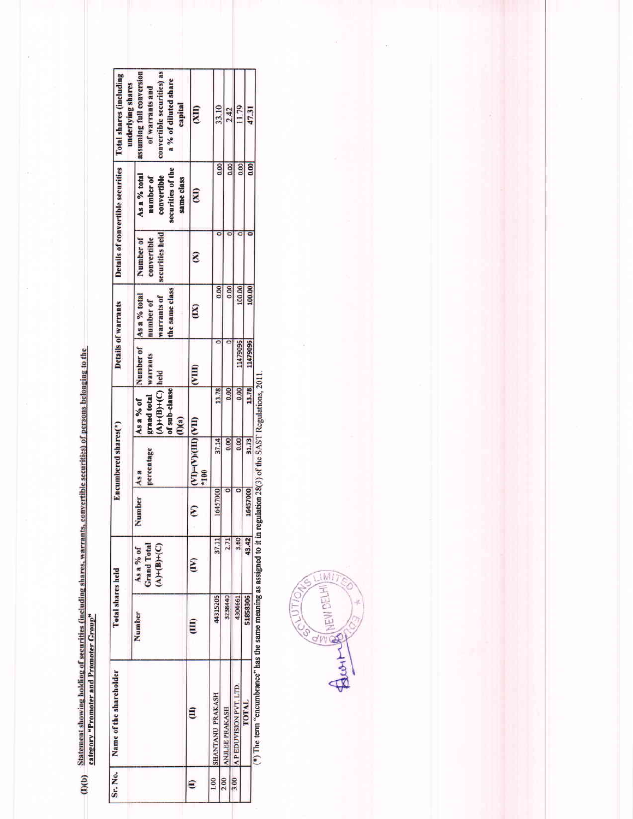(I)(b) Statement showing holding of securities (including shares, warrants, convertible securities) of persons belonging to the category "Promoter and Promoter Group"

| Sr. No. | Name of the shareholder     | Total shares held |                                                  |          | Encumbered shares(*)                                    |                                                                                        |                        | <b>Details of warrants</b>                 |                                             | Details of convertible securities                                           | Total shares (including<br>underlying shares                                                                 |
|---------|-----------------------------|-------------------|--------------------------------------------------|----------|---------------------------------------------------------|----------------------------------------------------------------------------------------|------------------------|--------------------------------------------|---------------------------------------------|-----------------------------------------------------------------------------|--------------------------------------------------------------------------------------------------------------|
|         |                             | Number            | <b>Grand Total</b><br>$(A)+(B)+(C)$<br>As a % of | Number   | percentage<br>As a                                      | grand total warrants<br>$(A) + (B) + (C)$ held<br>of sub-clause<br>As a % of<br>(1)(a) | Number of As a % total | the same class<br>warrants of<br>number of | securities held<br>Number of<br>convertible | securities of the<br>As a % total<br>convertible<br>number of<br>same class | convertible securities) as<br>assuming full conversion<br>a % of diluted share<br>of warrants and<br>capital |
| €       | Ê                           | Ê                 | E                                                | ε        | $(\text{IIV})$ $(\text{IIIV})$ $(\text{VIV})$<br>$*100$ |                                                                                        | $(\text{min})$         | E                                          | E                                           | $\mathbf{E}$                                                                | (XI)                                                                                                         |
| 1.00    | <b>SHANTANU PRAKASH</b>     | 44315205          | 37.11                                            | 16457000 | 37.14                                                   | 13.78                                                                                  |                        | 0.00                                       |                                             | 0.00                                                                        | 33.10                                                                                                        |
| 2.00    | <b>ANJLEE PRAKASH</b>       | 3238440           | 2.71                                             |          | 0.00                                                    | 0.00                                                                                   |                        | 0.00                                       |                                             | 0.00                                                                        | 2.42                                                                                                         |
| 3.00    | <b>APEDUVISION PVT LTD.</b> | 4304661           | 3.50                                             |          | 0.00                                                    | 0.00                                                                                   | 11479096               | 100.00                                     |                                             | 0.001                                                                       | 11.79                                                                                                        |
|         | <b>TOTAL</b>                | 51858306          | 43.42                                            | 16457000 | 31.73                                                   | 13.78                                                                                  | 11479096               | 100.00                                     |                                             | 0.00                                                                        | 47.31                                                                                                        |

( $\tau$ ) the term concumptance has the same meaning as assigned to it in regulation 28(3) of the SAST Regulations, 2011.

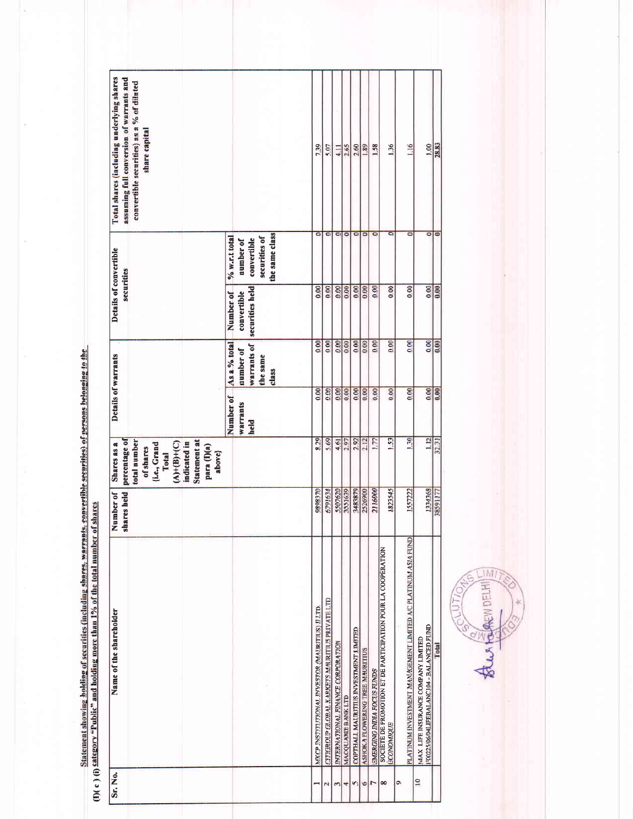Statement showing holding of securities (including shares, warrants, convertible securities) of persons belonging to the<br>(I)( c ) (i) Category "Public" and holding more than 1% of the total number of shares

| Total shares (including underlying shares<br>assuming full conversion of warrants and<br>convertible securities) as a % of diluted<br>share capital          |                                                                                 | 739                                            | 5.07                                           | $\frac{1}{4}$                     | 2.65               |                                       | $\frac{2.60}{1.89}$             | 1.58                              | 1.36                                                                              | 116                                                           | 1.00                                                                            | 28.83       |
|--------------------------------------------------------------------------------------------------------------------------------------------------------------|---------------------------------------------------------------------------------|------------------------------------------------|------------------------------------------------|-----------------------------------|--------------------|---------------------------------------|---------------------------------|-----------------------------------|-----------------------------------------------------------------------------------|---------------------------------------------------------------|---------------------------------------------------------------------------------|-------------|
| Details of convertible<br>securities                                                                                                                         | the same class<br>securities of<br>$% w.r.t.$ total<br>convertible<br>number of | ۰                                              | $\overline{\bullet}$                           | $\overline{\phantom{a}}$          | $\circ$            | $\circ$                               | $\circ$                         | $\overline{\bullet}$              | a                                                                                 | $\overline{O}$                                                | $\overline{\circ}$                                                              | $\bullet$   |
|                                                                                                                                                              | securities held<br>Number of<br>convertible                                     | 0.00                                           | 0.00                                           | 0.00                              | 8.00               |                                       | 0.00                            | 0.00                              | 0.00                                                                              | 0.00                                                          |                                                                                 | $rac{8}{9}$ |
|                                                                                                                                                              | As a % total<br><b>Warrants</b> of<br>number of<br>the same<br>class            | 0.00                                           | 0.00                                           | 0.00                              | 0.00               | 0.00                                  | 0.00                            | 0.00                              | 0.00                                                                              | 0.00                                                          | 000                                                                             | 0.00        |
| Details of warrants                                                                                                                                          | Number of<br><b>Warrants</b><br>held                                            | 0.00                                           | 0.00                                           | 0.00                              | 0.00               | 0.00                                  | 0.00                            | 0.00                              | 0.00                                                                              | 0.00                                                          | 0.00                                                                            | 0.00        |
| total number<br>Statement at<br>percentage of<br>$(A)+(B)+(C)$<br>indicated in<br>(i.e., Grand<br>Shares as a<br>para (I)(a)<br>of shares<br>above}<br>Total |                                                                                 | 8.29                                           | 5.69                                           | 4.61                              | 2.97               | 2.92                                  | 2.12                            | 1.77                              | 1.53                                                                              | <b>130</b>                                                    | $\frac{1}{2}$                                                                   | 32.31       |
| shares held<br>Number of                                                                                                                                     |                                                                                 | 0258686                                        | 6791634                                        | 5507620                           | 3551639            | 3483879                               | 2526900                         | 2116000                           | 1823545                                                                           | 1557222                                                       | 1334368                                                                         | 38591177    |
| Name of the shareholder                                                                                                                                      |                                                                                 | MKCP INSTITUTIONAL INVESTOR (MAURITIUS) II LTD | CITIGROUP GLOBAL KARKETS MAURITIUS PRIVATE LTD | INTERNATIONAL FINANCE CORPORATION | MACQUARIE BANK LTD | COPTHALL MAURITIUS INVESTMENT LIMITED | ASHOKA FLOWERING TREE MAURITIUS | <b>EMERGING INDIA FOCUS FUNDS</b> | SOCIETE DE PROMOTION ET DE PARTICIPATION POUR LA COOPERATION<br><b>ÉCONOMIQUE</b> | PLATINUM INVESTMENT MANAGEMENT LIMITED A/C PLATINUM ASIA FUND | F00225/06/04LIFEBALANC104 - BALANCED FUND<br>MAX LIFE INSURANCE COMPANY LIMITED | Total       |
| Sr. No.                                                                                                                                                      |                                                                                 |                                                |                                                |                                   |                    | n                                     | Ġ                               | r                                 | 8                                                                                 | ô                                                             | $\overline{a}$                                                                  |             |

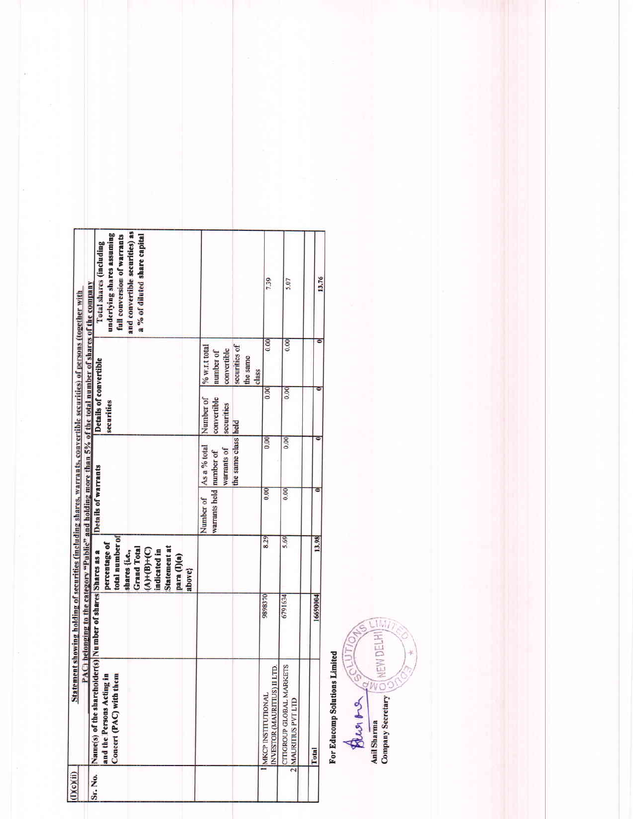| I)(c)(ii) |                                                                                                                       | PAC) belonging to the category "Public" and holding more than 5% of the total number of shares of the company<br>Statement showing holding of securities (including shares, warrants, convertible securities) of persons (together with |                                                                                                                                                       |                                      |                                                    |                                        |                                                                                 |                                                                                                                                                        |
|-----------|-----------------------------------------------------------------------------------------------------------------------|-----------------------------------------------------------------------------------------------------------------------------------------------------------------------------------------------------------------------------------------|-------------------------------------------------------------------------------------------------------------------------------------------------------|--------------------------------------|----------------------------------------------------|----------------------------------------|---------------------------------------------------------------------------------|--------------------------------------------------------------------------------------------------------------------------------------------------------|
| Sr. No.   | Name(s) of the shareholder(s) Number of shares Shares as a<br>£,<br>Concert (PAC) with them<br>and the Persons Acting |                                                                                                                                                                                                                                         | total number of<br>percentage of<br>Statement at<br><b>Grand Total</b><br>$(A) + (B) + (C)$<br>shares {i.e.,<br>indicated in<br>para (I)(a)<br>above} | Details of warrants                  |                                                    | Details of convertible<br>securities   |                                                                                 | and convertible securities) as<br>underlying shares assuming<br>full conversion of warrants<br>a % of diluted share capital<br>Total shares (including |
|           |                                                                                                                       |                                                                                                                                                                                                                                         |                                                                                                                                                       | warrants held number of<br>Number of | the same class held<br>As a % total<br>warrants of | Number of<br>convertible<br>securities | securities of<br>% w.r.t total<br>convertible<br>number of<br>the same<br>class |                                                                                                                                                        |
|           | LLTD.<br><b>INVESTOR (MAURITIUS) II</b><br><b>MKCP INSTITUTIONAL</b>                                                  | 068686                                                                                                                                                                                                                                  | 8.29                                                                                                                                                  | 0.00                                 | 0.00                                               | 0.00                                   | 0.00                                                                            | 7.39                                                                                                                                                   |
|           | CITIGROUP GLOBAL MARKETS<br>2 MAURITIUS PVT LTD                                                                       | 6791634                                                                                                                                                                                                                                 | 5.69                                                                                                                                                  | 0.00                                 | 0.00                                               | 0.00                                   | 0.00                                                                            | 5.07                                                                                                                                                   |
|           | Total                                                                                                                 | 16690004                                                                                                                                                                                                                                | 13.98                                                                                                                                                 |                                      |                                                    |                                        |                                                                                 |                                                                                                                                                        |
|           |                                                                                                                       |                                                                                                                                                                                                                                         |                                                                                                                                                       |                                      |                                                    |                                        |                                                                                 | 13.76                                                                                                                                                  |

For Educomp Solutions Limited

BUSING SOUTION